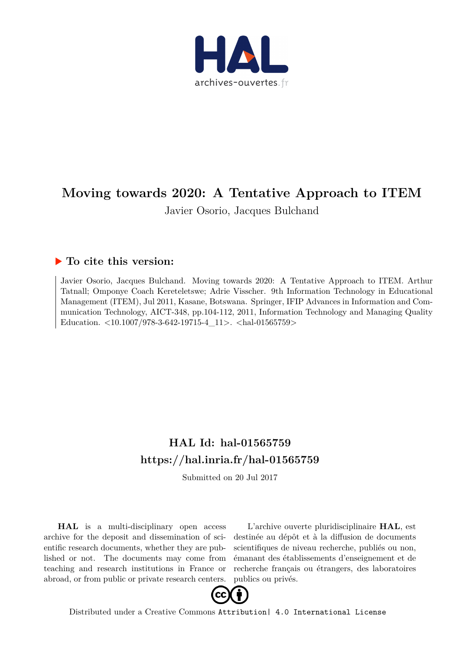

# **Moving towards 2020: A Tentative Approach to ITEM**

Javier Osorio, Jacques Bulchand

## **To cite this version:**

Javier Osorio, Jacques Bulchand. Moving towards 2020: A Tentative Approach to ITEM. Arthur Tatnall; Omponye Coach Kereteletswe; Adrie Visscher. 9th Information Technology in Educational Management (ITEM), Jul 2011, Kasane, Botswana. Springer, IFIP Advances in Information and Communication Technology, AICT-348, pp.104-112, 2011, Information Technology and Managing Quality Education. <10.1007/978-3-642-19715-4\_11>. <hal-01565759>

## **HAL Id: hal-01565759 <https://hal.inria.fr/hal-01565759>**

Submitted on 20 Jul 2017

**HAL** is a multi-disciplinary open access archive for the deposit and dissemination of scientific research documents, whether they are published or not. The documents may come from teaching and research institutions in France or abroad, or from public or private research centers.

L'archive ouverte pluridisciplinaire **HAL**, est destinée au dépôt et à la diffusion de documents scientifiques de niveau recherche, publiés ou non, émanant des établissements d'enseignement et de recherche français ou étrangers, des laboratoires publics ou privés.



Distributed under a Creative Commons [Attribution| 4.0 International License](http://creativecommons.org/licenses/by/4.0/)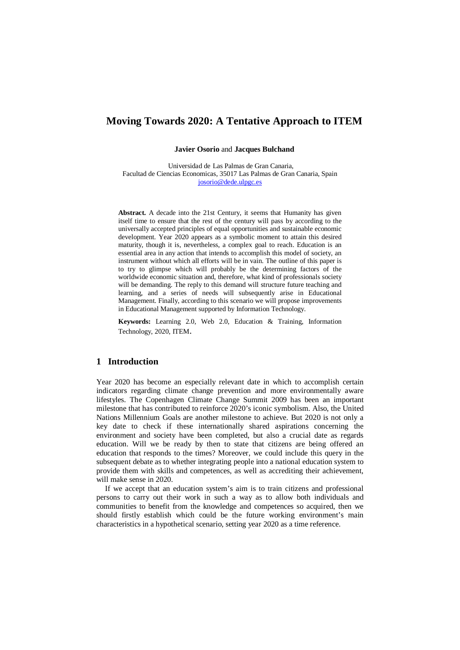## **Moving Towards 2020: A Tentative Approach to ITEM**

**Javier Osorio** and **Jacques Bulchand**

Universidad de Las Palmas de Gran Canaria, Facultad de Ciencias Economicas, 35017 Las Palmas de Gran Canaria, Spain [josorio@dede.ulpgc.es](mailto:josorio@dede.ulpgc.es)

**Abstract.** A decade into the 21st Century, it seems that Humanity has given itself time to ensure that the rest of the century will pass by according to the universally accepted principles of equal opportunities and sustainable economic development. Year 2020 appears as a symbolic moment to attain this desired maturity, though it is, nevertheless, a complex goal to reach. Education is an essential area in any action that intends to accomplish this model of society, an instrument without which all efforts will be in vain. The outline of this paper is to try to glimpse which will probably be the determining factors of the worldwide economic situation and, therefore, what kind of professionals society will be demanding. The reply to this demand will structure future teaching and learning, and a series of needs will subsequently arise in Educational Management. Finally, according to this scenario we will propose improvements in Educational Management supported by Information Technology.

**Keywords:** Learning 2.0, Web 2.0, Education & Training, Information Technology, 2020, ITEM.

#### **1 Introduction**

Year 2020 has become an especially relevant date in which to accomplish certain indicators regarding climate change prevention and more environmentally aware lifestyles. The Copenhagen Climate Change Summit 2009 has been an important milestone that has contributed to reinforce 2020's iconic symbolism. Also, the United Nations Millennium Goals are another milestone to achieve. But 2020 is not only a key date to check if these internationally shared aspirations concerning the environment and society have been completed, but also a crucial date as regards education. Will we be ready by then to state that citizens are being offered an education that responds to the times? Moreover, we could include this query in the subsequent debate as to whether integrating people into a national education system to provide them with skills and competences, as well as accrediting their achievement, will make sense in 2020.

If we accept that an education system's aim is to train citizens and professional persons to carry out their work in such a way as to allow both individuals and communities to benefit from the knowledge and competences so acquired, then we should firstly establish which could be the future working environment's main characteristics in a hypothetical scenario, setting year 2020 as a time reference.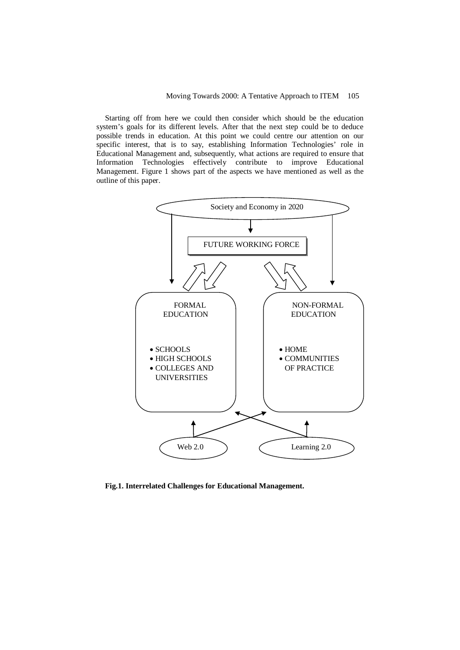Starting off from here we could then consider which should be the education system's goals for its different levels. After that the next step could be to deduce possible trends in education. At this point we could centre our attention on our specific interest, that is to say, establishing Information Technologies' role in Educational Management and, subsequently, what actions are required to ensure that Information Technologies effectively contribute to improve Educational Management. Figure 1 shows part of the aspects we have mentioned as well as the outline of this paper.



**Fig.1. Interrelated Challenges for Educational Management.**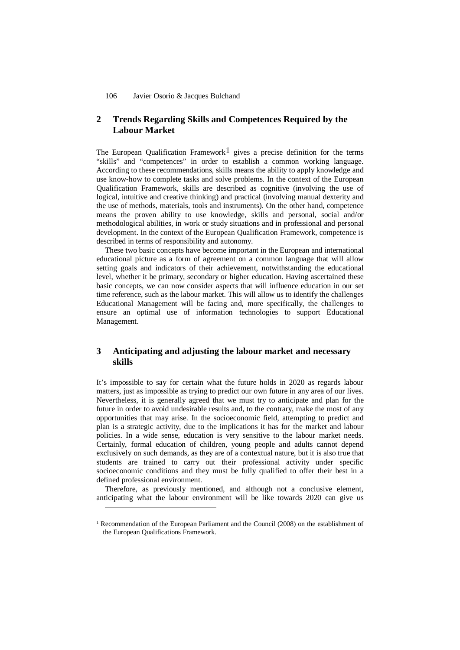### **2 Trends Regarding Skills and Competences Required by the Labour Market**

The European Qualification Framework<sup>[1](#page-3-0)</sup> gives a precise definition for the terms "skills" and "competences" in order to establish a common working language. According to these recommendations, skills means the ability to apply knowledge and use know-how to complete tasks and solve problems. In the context of the European Qualification Framework, skills are described as cognitive (involving the use of logical, intuitive and creative thinking) and practical (involving manual dexterity and the use of methods, materials, tools and instruments). On the other hand, competence means the proven ability to use knowledge, skills and personal, social and/or methodological abilities, in work or study situations and in professional and personal development. In the context of the European Qualification Framework, competence is described in terms of responsibility and autonomy.

These two basic concepts have become important in the European and international educational picture as a form of agreement on a common language that will allow setting goals and indicators of their achievement, notwithstanding the educational level, whether it be primary, secondary or higher education. Having ascertained these basic concepts, we can now consider aspects that will influence education in our set time reference, such as the labour market. This will allow us to identify the challenges Educational Management will be facing and, more specifically, the challenges to ensure an optimal use of information technologies to support Educational Management.

### **3 Anticipating and adjusting the labour market and necessary skills**

It's impossible to say for certain what the future holds in 2020 as regards labour matters, just as impossible as trying to predict our own future in any area of our lives. Nevertheless, it is generally agreed that we must try to anticipate and plan for the future in order to avoid undesirable results and, to the contrary, make the most of any opportunities that may arise. In the socioeconomic field, attempting to predict and plan is a strategic activity, due to the implications it has for the market and labour policies. In a wide sense, education is very sensitive to the labour market needs. Certainly, formal education of children, young people and adults cannot depend exclusively on such demands, as they are of a contextual nature, but it is also true that students are trained to carry out their professional activity under specific socioeconomic conditions and they must be fully qualified to offer their best in a defined professional environment.

Therefore, as previously mentioned, and although not a conclusive element, anticipating what the labour environment will be like towards 2020 can give us

-

<span id="page-3-0"></span><sup>&</sup>lt;sup>1</sup> Recommendation of the European Parliament and the Council (2008) on the establishment of the European Qualifications Framework.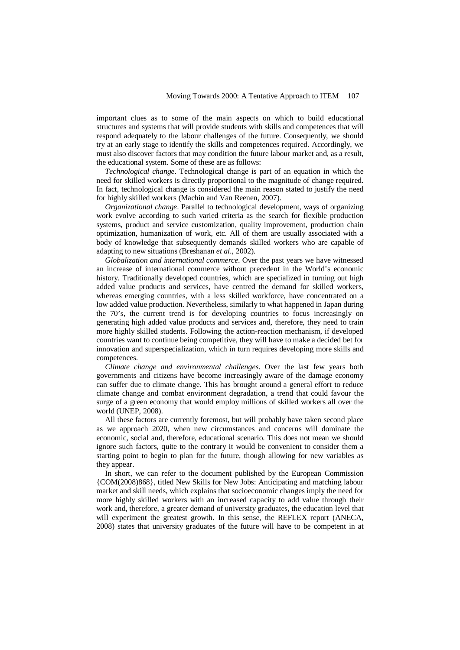important clues as to some of the main aspects on which to build educational structures and systems that will provide students with skills and competences that will respond adequately to the labour challenges of the future. Consequently, we should try at an early stage to identify the skills and competences required. Accordingly, we must also discover factors that may condition the future labour market and, as a result, the educational system. Some of these are as follows:

*Technological change*. Technological change is part of an equation in which the need for skilled workers is directly proportional to the magnitude of change required. In fact, technological change is considered the main reason stated to justify the need for highly skilled workers (Machin and Van Reenen, 2007).

*Organizational change*. Parallel to technological development, ways of organizing work evolve according to such varied criteria as the search for flexible production systems, product and service customization, quality improvement, production chain optimization, humanization of work, etc. All of them are usually associated with a body of knowledge that subsequently demands skilled workers who are capable of adapting to new situations (Breshanan *et al*., 2002).

*Globalization and international commerce*. Over the past years we have witnessed an increase of international commerce without precedent in the World's economic history. Traditionally developed countries, which are specialized in turning out high added value products and services, have centred the demand for skilled workers, whereas emerging countries, with a less skilled workforce, have concentrated on a low added value production. Nevertheless, similarly to what happened in Japan during the 70's, the current trend is for developing countries to focus increasingly on generating high added value products and services and, therefore, they need to train more highly skilled students. Following the action-reaction mechanism, if developed countries want to continue being competitive, they will have to make a decided bet for innovation and superspecialization, which in turn requires developing more skills and competences.

*Climate change and environmental challenges*. Over the last few years both governments and citizens have become increasingly aware of the damage economy can suffer due to climate change. This has brought around a general effort to reduce climate change and combat environment degradation, a trend that could favour the surge of a green economy that would employ millions of skilled workers all over the world (UNEP, 2008).

All these factors are currently foremost, but will probably have taken second place as we approach 2020, when new circumstances and concerns will dominate the economic, social and, therefore, educational scenario. This does not mean we should ignore such factors, quite to the contrary it would be convenient to consider them a starting point to begin to plan for the future, though allowing for new variables as they appear.

In short, we can refer to the document published by the European Commission {COM(2008)868}, titled New Skills for New Jobs: Anticipating and matching labour market and skill needs, which explains that socioeconomic changes imply the need for more highly skilled workers with an increased capacity to add value through their work and, therefore, a greater demand of university graduates, the education level that will experiment the greatest growth. In this sense, the REFLEX report (ANECA, 2008) states that university graduates of the future will have to be competent in at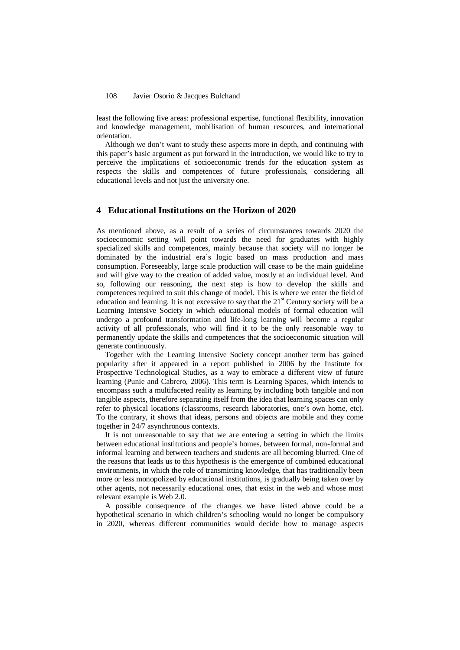#### 108 Javier Osorio & Jacques Bulchand

least the following five areas: professional expertise, functional flexibility, innovation and knowledge management, mobilisation of human resources, and international orientation.

Although we don't want to study these aspects more in depth, and continuing with this paper's basic argument as put forward in the introduction, we would like to try to perceive the implications of socioeconomic trends for the education system as respects the skills and competences of future professionals, considering all educational levels and not just the university one.

#### **4 Educational Institutions on the Horizon of 2020**

As mentioned above, as a result of a series of circumstances towards 2020 the socioeconomic setting will point towards the need for graduates with highly specialized skills and competences, mainly because that society will no longer be dominated by the industrial era's logic based on mass production and mass consumption. Foreseeably, large scale production will cease to be the main guideline and will give way to the creation of added value, mostly at an individual level. And so, following our reasoning, the next step is how to develop the skills and competences required to suit this change of model. This is where we enter the field of education and learning. It is not excessive to say that the  $21<sup>st</sup>$  Century society will be a Learning Intensive Society in which educational models of formal education will undergo a profound transformation and life-long learning will become a regular activity of all professionals, who will find it to be the only reasonable way to permanently update the skills and competences that the socioeconomic situation will generate continuously.

Together with the Learning Intensive Society concept another term has gained popularity after it appeared in a report published in 2006 by the Institute for Prospective Technological Studies, as a way to embrace a different view of future learning (Punie and Cabrero, 2006). This term is Learning Spaces, which intends to encompass such a multifaceted reality as learning by including both tangible and non tangible aspects, therefore separating itself from the idea that learning spaces can only refer to physical locations (classrooms, research laboratories, one's own home, etc). To the contrary, it shows that ideas, persons and objects are mobile and they come together in 24/7 asynchronous contexts.

It is not unreasonable to say that we are entering a setting in which the limits between educational institutions and people's homes, between formal, non-formal and informal learning and between teachers and students are all becoming blurred. One of the reasons that leads us to this hypothesis is the emergence of combined educational environments, in which the role of transmitting knowledge, that has traditionally been more or less monopolized by educational institutions, is gradually being taken over by other agents, not necessarily educational ones, that exist in the web and whose most relevant example is Web 2.0.

A possible consequence of the changes we have listed above could be a hypothetical scenario in which children's schooling would no longer be compulsory in 2020, whereas different communities would decide how to manage aspects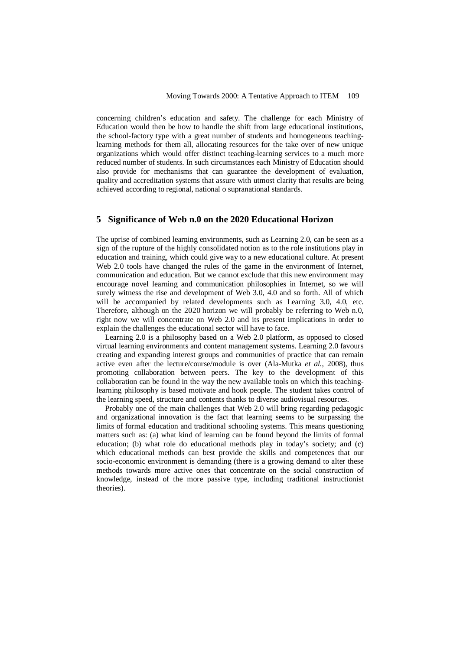concerning children's education and safety. The challenge for each Ministry of Education would then be how to handle the shift from large educational institutions, the school-factory type with a great number of students and homogeneous teachinglearning methods for them all, allocating resources for the take over of new unique organizations which would offer distinct teaching-learning services to a much more reduced number of students. In such circumstances each Ministry of Education should also provide for mechanisms that can guarantee the development of evaluation, quality and accreditation systems that assure with utmost clarity that results are being achieved according to regional, national o supranational standards.

#### **5 Significance of Web n.0 on the 2020 Educational Horizon**

The uprise of combined learning environments, such as Learning 2.0, can be seen as a sign of the rupture of the highly consolidated notion as to the role institutions play in education and training, which could give way to a new educational culture. At present Web 2.0 tools have changed the rules of the game in the environment of Internet, communication and education. But we cannot exclude that this new environment may encourage novel learning and communication philosophies in Internet, so we will surely witness the rise and development of Web 3.0, 4.0 and so forth. All of which will be accompanied by related developments such as Learning 3.0, 4.0, etc. Therefore, although on the 2020 horizon we will probably be referring to Web n.0, right now we will concentrate on Web 2.0 and its present implications in order to explain the challenges the educational sector will have to face.

Learning 2.0 is a philosophy based on a Web 2.0 platform, as opposed to closed virtual learning environments and content management systems. Learning 2.0 favours creating and expanding interest groups and communities of practice that can remain active even after the lecture/course/module is over (Ala-Mutka *et al.*, 2008), thus promoting collaboration between peers. The key to the development of this collaboration can be found in the way the new available tools on which this teachinglearning philosophy is based motivate and hook people. The student takes control of the learning speed, structure and contents thanks to diverse audiovisual resources.

Probably one of the main challenges that Web 2.0 will bring regarding pedagogic and organizational innovation is the fact that learning seems to be surpassing the limits of formal education and traditional schooling systems. This means questioning matters such as: (a) what kind of learning can be found beyond the limits of formal education; (b) what role do educational methods play in today's society; and (c) which educational methods can best provide the skills and competences that our socio-economic environment is demanding (there is a growing demand to alter these methods towards more active ones that concentrate on the social construction of knowledge, instead of the more passive type, including traditional instructionist theories).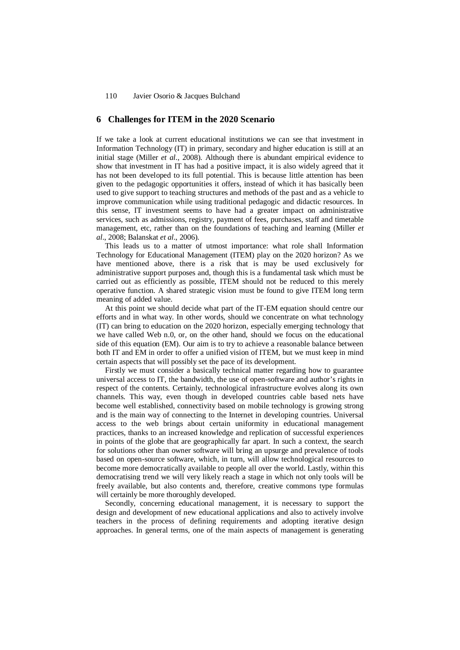#### **6 Challenges for ITEM in the 2020 Scenario**

If we take a look at current educational institutions we can see that investment in Information Technology (IT) in primary, secondary and higher education is still at an initial stage (Miller *et al*., 2008). Although there is abundant empirical evidence to show that investment in IT has had a positive impact, it is also widely agreed that it has not been developed to its full potential. This is because little attention has been given to the pedagogic opportunities it offers, instead of which it has basically been used to give support to teaching structures and methods of the past and as a vehicle to improve communication while using traditional pedagogic and didactic resources. In this sense, IT investment seems to have had a greater impact on administrative services, such as admissions, registry, payment of fees, purchases, staff and timetable management, etc, rather than on the foundations of teaching and learning (Miller *et al*., 2008; Balanskat *et al*., 2006).

This leads us to a matter of utmost importance: what role shall Information Technology for Educational Management (ITEM) play on the 2020 horizon? As we have mentioned above, there is a risk that is may be used exclusively for administrative support purposes and, though this is a fundamental task which must be carried out as efficiently as possible, ITEM should not be reduced to this merely operative function. A shared strategic vision must be found to give ITEM long term meaning of added value.

At this point we should decide what part of the IT-EM equation should centre our efforts and in what way. In other words, should we concentrate on what technology (IT) can bring to education on the 2020 horizon, especially emerging technology that we have called Web n.0, or, on the other hand, should we focus on the educational side of this equation (EM). Our aim is to try to achieve a reasonable balance between both IT and EM in order to offer a unified vision of ITEM, but we must keep in mind certain aspects that will possibly set the pace of its development.

Firstly we must consider a basically technical matter regarding how to guarantee universal access to IT, the bandwidth, the use of open-software and author's rights in respect of the contents. Certainly, technological infrastructure evolves along its own channels. This way, even though in developed countries cable based nets have become well established, connectivity based on mobile technology is growing strong and is the main way of connecting to the Internet in developing countries. Universal access to the web brings about certain uniformity in educational management practices, thanks to an increased knowledge and replication of successful experiences in points of the globe that are geographically far apart. In such a context, the search for solutions other than owner software will bring an upsurge and prevalence of tools based on open-source software, which, in turn, will allow technological resources to become more democratically available to people all over the world. Lastly, within this democratising trend we will very likely reach a stage in which not only tools will be freely available, but also contents and, therefore, creative commons type formulas will certainly be more thoroughly developed.

Secondly, concerning educational management, it is necessary to support the design and development of new educational applications and also to actively involve teachers in the process of defining requirements and adopting iterative design approaches. In general terms, one of the main aspects of management is generating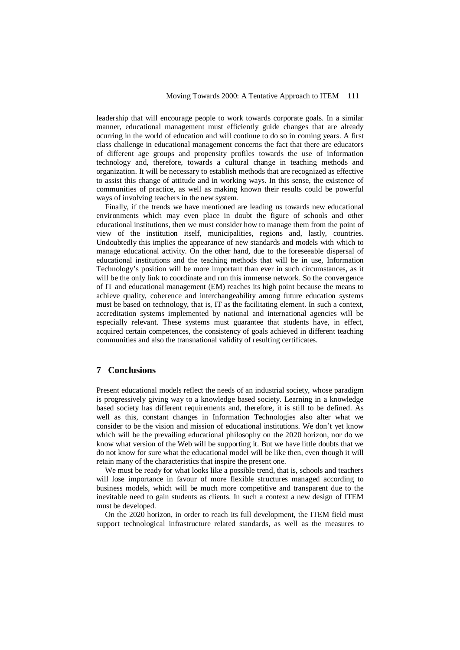leadership that will encourage people to work towards corporate goals. In a similar manner, educational management must efficiently guide changes that are already ocurring in the world of education and will continue to do so in coming years. A first class challenge in educational management concerns the fact that there are educators of different age groups and propensity profiles towards the use of information technology and, therefore, towards a cultural change in teaching methods and organization. It will be necessary to establish methods that are recognized as effective to assist this change of attitude and in working ways. In this sense, the existence of communities of practice, as well as making known their results could be powerful ways of involving teachers in the new system.

Finally, if the trends we have mentioned are leading us towards new educational environments which may even place in doubt the figure of schools and other educational institutions, then we must consider how to manage them from the point of view of the institution itself, municipalities, regions and, lastly, countries. Undoubtedly this implies the appearance of new standards and models with which to manage educational activity. On the other hand, due to the foreseeable dispersal of educational institutions and the teaching methods that will be in use, Information Technology's position will be more important than ever in such circumstances, as it will be the only link to coordinate and run this immense network. So the convergence of IT and educational management (EM) reaches its high point because the means to achieve quality, coherence and interchangeability among future education systems must be based on technology, that is, IT as the facilitating element. In such a context, accreditation systems implemented by national and international agencies will be especially relevant. These systems must guarantee that students have, in effect, acquired certain competences, the consistency of goals achieved in different teaching communities and also the transnational validity of resulting certificates.

#### **7 Conclusions**

Present educational models reflect the needs of an industrial society, whose paradigm is progressively giving way to a knowledge based society. Learning in a knowledge based society has different requirements and, therefore, it is still to be defined. As well as this, constant changes in Information Technologies also alter what we consider to be the vision and mission of educational institutions. We don't yet know which will be the prevailing educational philosophy on the 2020 horizon, nor do we know what version of the Web will be supporting it. But we have little doubts that we do not know for sure what the educational model will be like then, even though it will retain many of the characteristics that inspire the present one.

We must be ready for what looks like a possible trend, that is, schools and teachers will lose importance in favour of more flexible structures managed according to business models, which will be much more competitive and transparent due to the inevitable need to gain students as clients. In such a context a new design of ITEM must be developed.

On the 2020 horizon, in order to reach its full development, the ITEM field must support technological infrastructure related standards, as well as the measures to